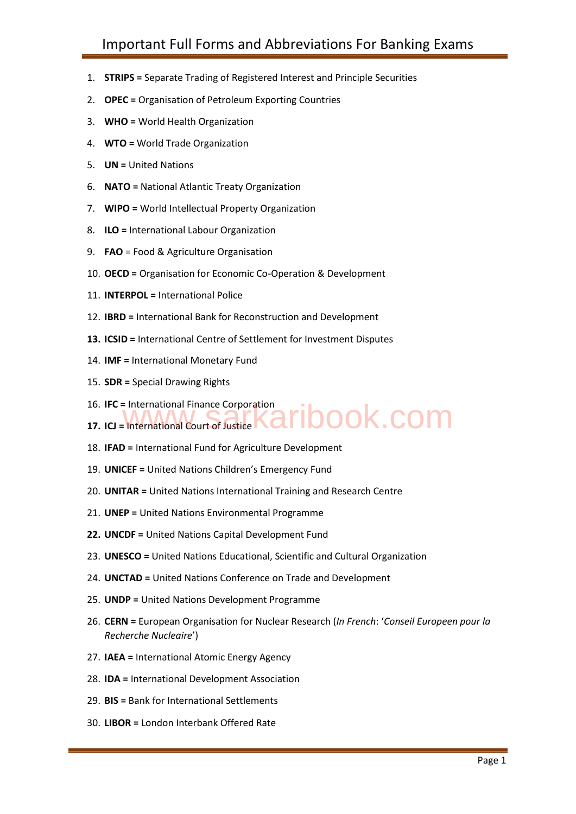- 1. **STRIPS =** Separate Trading of Registered Interest and Principle Securities
- 2. **OPEC =** Organisation of Petroleum Exporting Countries
- 3. **WHO =** World Health Organization
- 4. **WTO =** World Trade Organization
- 5. **UN =** United Nations
- 6. **NATO =** National Atlantic Treaty Organization
- 7. **WIPO =** World Intellectual Property Organization
- 8. **ILO =** International Labour Organization
- 9. **FAO** = Food & Agriculture Organisation
- 10. **OECD =** Organisation for Economic Co-Operation & Development
- 11. **INTERPOL =** International Police
- 12. **IBRD =** International Bank for Reconstruction and Development
- **13. ICSID =** International Centre of Settlement for Investment Disputes
- 14. **IMF =** International Monetary Fund
- 15. **SDR =** Special Drawing Rights
- 16. **IFC =** International Finance Corporation
- 16. IFC = International Finance Corporation<br>17. ICJ = International Court of Justice **Karib Dook.com**
- 18. **IFAD =** International Fund for Agriculture Development
- 19. **UNICEF =** United Nations Children's Emergency Fund
- 20. **UNITAR =** United Nations International Training and Research Centre
- 21. **UNEP =** United Nations Environmental Programme
- **22. UNCDF =** United Nations Capital Development Fund
- 23. **UNESCO =** United Nations Educational, Scientific and Cultural Organization
- 24. **UNCTAD =** United Nations Conference on Trade and Development
- 25. **UNDP =** United Nations Development Programme
- 26. **CERN =** European Organisation for Nuclear Research (*In French*: '*Conseil Europeen pour la Recherche Nucleaire*') **EXECTS 2019**<br>
2. OPEC = Organ<br>
3. WHO = World<br>
4. WTO = World<br>
5. UN = United N<br>
6. NATO = Nation<br>
7. WIPO = World<br>
8. ILO = Internation<br>
9. FAO = Food &<br>
10. OECD = Organ<br>
11. INTERPOL = Internation<br>
13. ICSID = Internat
	- 27. **IAEA =** International Atomic Energy Agency
	- 28. **IDA =** International Development Association
	- 29. **BIS =** Bank for International Settlements
	- 30. **LIBOR =** London Interbank Offered Rate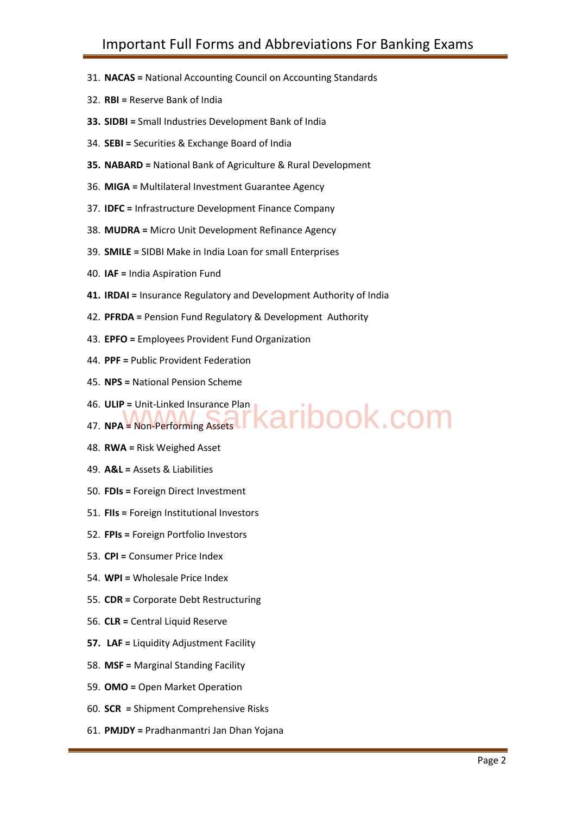- 31. **NACAS =** National Accounting Council on Accounting Standards
- 32. **RBI =** Reserve Bank of India
- **33. SIDBI =** Small Industries Development Bank of India
- 34. **SEBI =** Securities & Exchange Board of India
- **35. NABARD =** National Bank of Agriculture & Rural Development
- 36. **MIGA =** Multilateral Investment Guarantee Agency
- 37. **IDFC =** Infrastructure Development Finance Company
- 38. **MUDRA =** Micro Unit Development Refinance Agency
- 39. **SMILE =** SIDBI Make in India Loan for small Enterprises
- 40. **IAF =** India Aspiration Fund
- **41. IRDAI =** Insurance Regulatory and Development Authority of India
- 42. **PFRDA =** Pension Fund Regulatory & Development Authority
- 43. **EPFO =** Employees Provident Fund Organization
- 44. **PPF =** Public Provident Federation
- 45. **NPS =** National Pension Scheme
- 46. **ULIP =** Unit-Linked Insurance Plan 46. ULIP = Unit-Linked Insurance Plan<br>47. NPA = Non-Performing Assets **F Karibook.com**
- 48. **RWA =** Risk Weighed Asset
- 49. **A&L =** Assets & Liabilities
- 50. **FDIs =** Foreign Direct Investment
- 51. **FIIs =** Foreign Institutional Investors
- 52. **FPIs =** Foreign Portfolio Investors
- 53. **CPI =** Consumer Price Index
- 54. **WPI =** Wholesale Price Index
- 55. **CDR =** Corporate Debt Restructuring
- 56. **CLR =** Central Liquid Reserve
- **57. LAF =** Liquidity Adjustment Facility
- 58. **MSF =** Marginal Standing Facility
- 59. **OMO =** Open Market Operation
- 60. **SCR =** Shipment Comprehensive Risks
- 61. **PMJDY =** Pradhanmantri Jan Dhan Yojana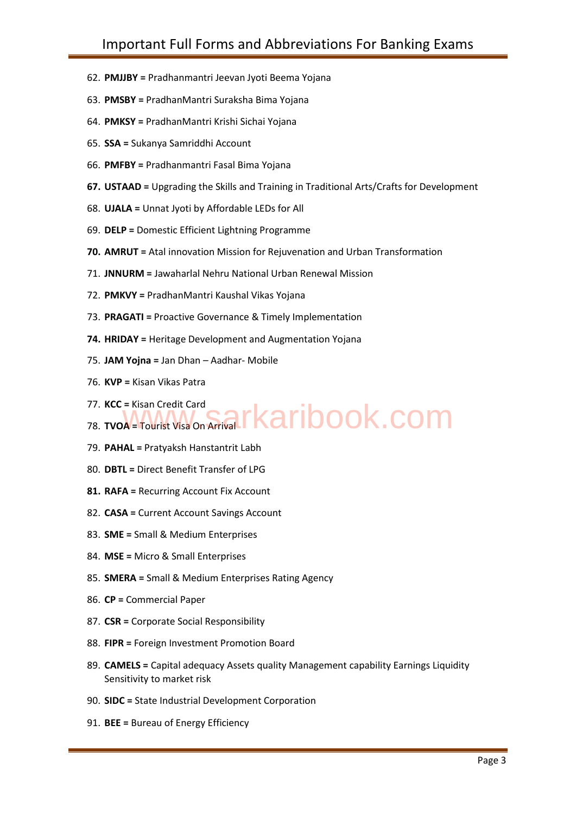- 62. **PMJJBY =** Pradhanmantri Jeevan Jyoti Beema Yojana
- 63. **PMSBY =** PradhanMantri Suraksha Bima Yojana
- 64. **PMKSY =** PradhanMantri Krishi Sichai Yojana
- 65. **SSA =** Sukanya Samriddhi Account
- 66. **PMFBY =** Pradhanmantri Fasal Bima Yojana
- **67. USTAAD =** Upgrading the Skills and Training in Traditional Arts/Crafts for Development
- 68. **UJALA =** Unnat Jyoti by Affordable LEDs for All
- 69. **DELP =** Domestic Efficient Lightning Programme
- **70. AMRUT =** Atal innovation Mission for Rejuvenation and Urban Transformation
- 71. **JNNURM =** Jawaharlal Nehru National Urban Renewal Mission
- 72. **PMKVY =** PradhanMantri Kaushal Vikas Yojana
- 73. **PRAGATI =** Proactive Governance & Timely Implementation
- **74. HRIDAY =** Heritage Development and Augmentation Yojana
- 75. **JAM Yojna =** Jan Dhan Aadhar- Mobile
- 76. **KVP =** Kisan Vikas Patra
- 77. **KCC =** Kisan Credit Card
- 77. KCC = Kisan Credit Card<br>78. TVOA = Tourist Visa On Arrival **FKaribook.com**
- 79. **PAHAL =** Pratyaksh Hanstantrit Labh
- 80. **DBTL =** Direct Benefit Transfer of LPG
- **81. RAFA =** Recurring Account Fix Account
- 82. **CASA =** Current Account Savings Account
- 83. **SME =** Small & Medium Enterprises
- 84. **MSE =** Micro & Small Enterprises
- 85. **SMERA =** Small & Medium Enterprises Rating Agency
- 86. **CP =** Commercial Paper
- 87. **CSR =** Corporate Social Responsibility
- 88. **FIPR =** Foreign Investment Promotion Board
- 89. **CAMELS =** Capital adequacy Assets quality Management capability Earnings Liquidity Sensitivity to market risk **EXECTS ANSATE FOR ANTIFICITY**<br> **EXECTS ANSATE PROBALMANT EXECTS PROBALMANT CONSIST PROBALMANT INCTS (SS. SSA = Sukanya Samriddhi Account 66. PMFBY = Pradhanmantri Fasal Bir<br>
<b>67. USTAAD** = Upgrading the Skills an<br> **67. US** 
	- 90. **SIDC =** State Industrial Development Corporation
	-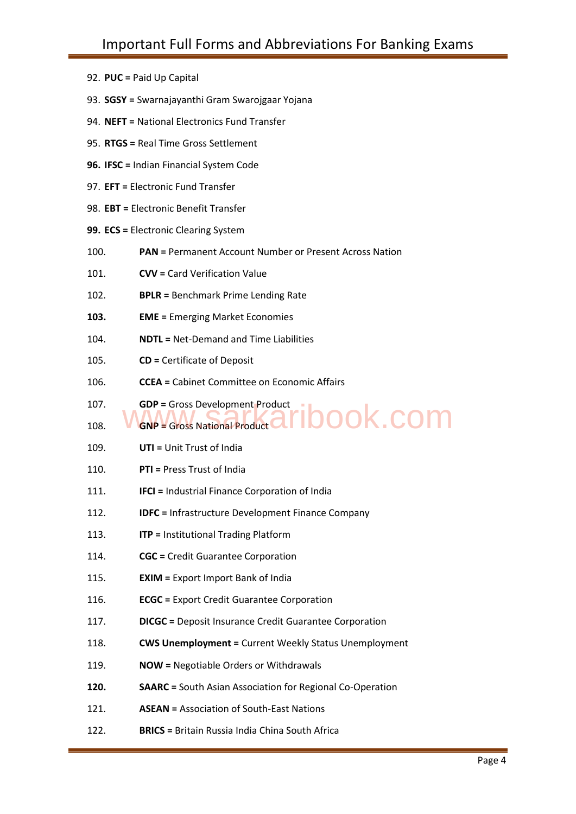|  | 92. PUC = Paid Up Capital |  |  |  |
|--|---------------------------|--|--|--|
|--|---------------------------|--|--|--|

- 93. **SGSY =** Swarnajayanthi Gram Swarojgaar Yojana
- 94. **NEFT =** National Electronics Fund Transfer
- 95. **RTGS =** Real Time Gross Settlement
- **96. IFSC =** Indian Financial System Code
- 97. **EFT =** Electronic Fund Transfer
- 98. **EBT =** Electronic Benefit Transfer
- **99. ECS =** Electronic Clearing System
- 100. **PAN =** Permanent Account Number or Present Across Nation
- 101. **CVV =** Card Verification Value
- 102. **BPLR =** Benchmark Prime Lending Rate
- **103. EME =** Emerging Market Economies
- 104. **NDTL =** Net-Demand and Time Liabilities
- 105. **CD =** Certificate of Deposit

- 106. **CCEA =** Cabinet Committee on Economic Affairs
- 107. **GDP =** Gross Development Product
- 108. **GNP = Gross National Product** ibook.com
- 109. **UTI =** Unit Trust of India
- 110. **PTI =** Press Trust of India
- 111. **IFCI =** Industrial Finance Corporation of India
- 112. **IDFC =** Infrastructure Development Finance Company
- 113. **ITP =** Institutional Trading Platform
- 114. **CGC =** Credit Guarantee Corporation
- 115. **EXIM =** Export Import Bank of India
- 116. **ECGC =** Export Credit Guarantee Corporation
- 117. **DICGC =** Deposit Insurance Credit Guarantee Corporation
- 118. **CWS Unemployment =** Current Weekly Status Unemployment
- 119. **NOW =** Negotiable Orders or Withdrawals
- **120. SAARC =** South Asian Association for Regional Co-Operation
- 121. **ASEAN =** Association of South-East Nations
- 122. **BRICS =** Britain Russia India China South Africa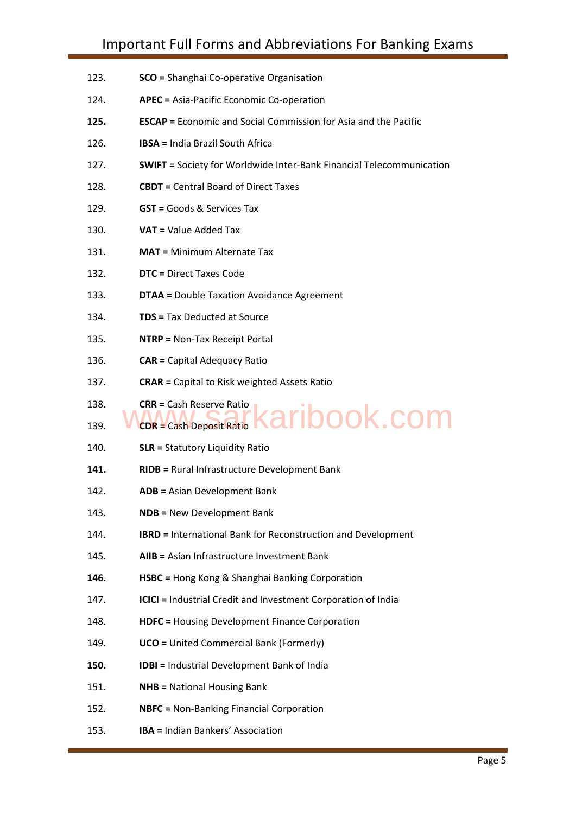- 123. **SCO =** Shanghai Co-operative Organisation
- 124. **APEC =** Asia-Pacific Economic Co-operation
- **125. ESCAP =** Economic and Social Commission for Asia and the Pacific
- 126. **IBSA =** India Brazil South Africa
- 127. **SWIFT =** Society for Worldwide Inter-Bank Financial Telecommunication
- 128. **CBDT =** Central Board of Direct Taxes
- 129. **GST =** Goods & Services Tax
- 130. **VAT =** Value Added Tax
- 131. **MAT =** Minimum Alternate Tax
- 132. **DTC =** Direct Taxes Code
- 133. **DTAA =** Double Taxation Avoidance Agreement
- 134. **TDS =** Tax Deducted at Source
- 135. **NTRP =** Non-Tax Receipt Portal
- 136. **CAR =** Capital Adequacy Ratio
- 137. **CRAR =** Capital to Risk weighted Assets Ratio
- 138. **CRR =** Cash Reserve Ratio

Downloaded from www.jobtodayinfo.com

### 139. **CDR =** Cash Deposit Ratio aribook.com

- 140. **SLR =** Statutory Liquidity Ratio
- **141. RIDB =** Rural Infrastructure Development Bank
- 142. **ADB =** Asian Development Bank
- 143. **NDB =** New Development Bank
- 144. **IBRD =** International Bank for Reconstruction and Development
- 145. **AIIB =** Asian Infrastructure Investment Bank
- **146. HSBC =** Hong Kong & Shanghai Banking Corporation
- 147. **ICICI =** Industrial Credit and Investment Corporation of India
- 148. **HDFC =** Housing Development Finance Corporation
- 149. **UCO =** United Commercial Bank (Formerly)
- **150. IDBI =** Industrial Development Bank of India
- 151. **NHB =** National Housing Bank
- 152. **NBFC =** Non-Banking Financial Corporation
- 153. **IBA =** Indian Bankers' Association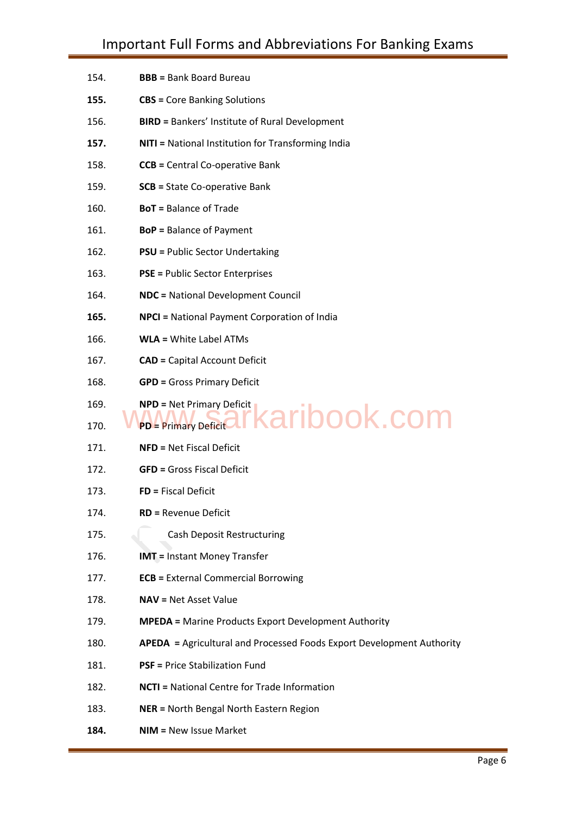| 154.         | <b>BBB</b> = Bank Board Bureau                                           |
|--------------|--------------------------------------------------------------------------|
| 155.         | <b>CBS</b> = Core Banking Solutions                                      |
| 156.         | <b>BIRD = Bankers' Institute of Rural Development</b>                    |
| 157.         | <b>NITI</b> = National Institution for Transforming India                |
| 158.         | <b>CCB</b> = Central Co-operative Bank                                   |
| 159.         | <b>SCB</b> = State Co-operative Bank                                     |
| 160.         | <b>BoT</b> = Balance of Trade                                            |
| 161.         | <b>BoP</b> = Balance of Payment                                          |
| 162.         | <b>PSU = Public Sector Undertaking</b>                                   |
| 163.         | <b>PSE = Public Sector Enterprises</b>                                   |
| 164.         | <b>NDC</b> = National Development Council                                |
| 165.         | <b>NPCI</b> = National Payment Corporation of India                      |
| 166.         | <b>WLA</b> = White Label ATMs                                            |
| 167.         | <b>CAD</b> = Capital Account Deficit                                     |
| 168.         | <b>GPD</b> = Gross Primary Deficit                                       |
| 169.         | <b>NPD</b> = Net Primary Deficit<br>karibook.com<br>PD = Primary Deficit |
| 170.<br>171. | <b>NFD</b> = Net Fiscal Deficit                                          |
| 172.         | <b>GFD</b> = Gross Fiscal Deficit                                        |
| 173.         | FD = Fiscal Deficit                                                      |
| 174.         | <b>RD</b> = Revenue Deficit                                              |
| 175.         | <b>Cash Deposit Restructuring</b>                                        |
| 176.         | <b>IMT</b> = Instant Money Transfer                                      |
| 177.         | <b>ECB</b> = External Commercial Borrowing                               |
| 178.         | <b>NAV = Net Asset Value</b>                                             |
| 179.         | <b>MPEDA</b> = Marine Products Export Development Authority              |
| 180.         | APEDA = Agricultural and Processed Foods Export Development Authority    |
| 181.         | <b>PSF</b> = Price Stabilization Fund                                    |
| 182.         | <b>NCTI</b> = National Centre for Trade Information                      |
| 183.         | <b>NER = North Bengal North Eastern Region</b>                           |
| 184.         | <b>NIM = New Issue Market</b>                                            |
|              |                                                                          |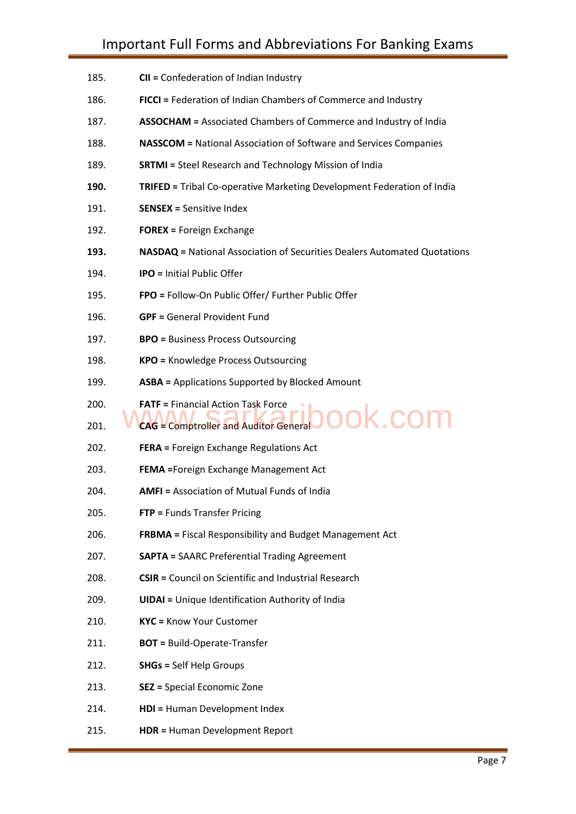185. **CII =** Confederation of Indian Industry 186. **FICCI =** Federation of Indian Chambers of Commerce and Industry 187. **ASSOCHAM =** Associated Chambers of Commerce and Industry of India 188. **NASSCOM =** National Association of Software and Services Companies 189. **SRTMI =** Steel Research and Technology Mission of India **190. TRIFED =** Tribal Co-operative Marketing Development Federation of India 191. **SENSEX =** Sensitive Index 192. **FOREX =** Foreign Exchange **193. NASDAQ =** National Association of Securities Dealers Automated Quotations 194. **IPO =** Initial Public Offer 195. **FPO =** Follow-On Public Offer/ Further Public Offer 196. **GPF =** General Provident Fund 197. **BPO =** Business Process Outsourcing 198. **KPO =** Knowledge Process Outsourcing 199. **ASBA =** Applications Supported by Blocked Amount 200. **FATF =** Financial Action Task Force 200. **FATF = Financial Action Task Force**<br>201. WCAG = Comptroller and Auditor General **DOOK.COM** 202. **FERA =** Foreign Exchange Regulations Act 203. **FEMA =**Foreign Exchange Management Act 204. **AMFI =** Association of Mutual Funds of India 205. **FTP =** Funds Transfer Pricing 206. **FRBMA =** Fiscal Responsibility and Budget Management Act 207. **SAPTA =** SAARC Preferential Trading Agreement 208. **CSIR =** Council on Scientific and Industrial Research 209. **UIDAI =** Unique Identification Authority of India 210. **KYC =** Know Your Customer 211. **BOT =** Build-Operate-Transfer 212. **SHGs =** Self Help Groups 213. **SEZ =** Special Economic Zone 214. **HDI =** Human Development Index 215. **HDR =** Human Development Report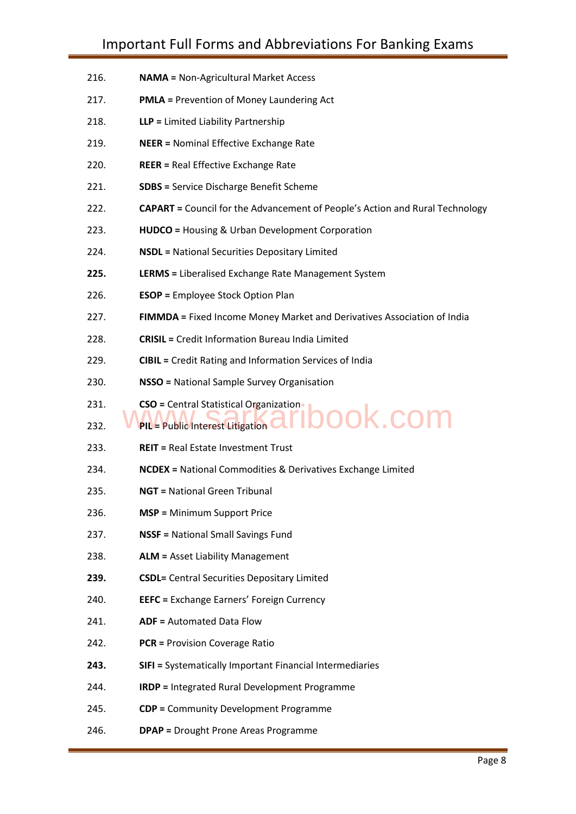- 216. **NAMA =** Non-Agricultural Market Access
- 217. **PMLA =** Prevention of Money Laundering Act
- 218. **LLP =** Limited Liability Partnership
- 219. **NEER =** Nominal Effective Exchange Rate
- 220. **REER =** Real Effective Exchange Rate
- 221. **SDBS =** Service Discharge Benefit Scheme
- 222. **CAPART =** Council for the Advancement of People's Action and Rural Technology
- 223. **HUDCO =** Housing & Urban Development Corporation
- 224. **NSDL =** National Securities Depositary Limited
- **225. LERMS =** Liberalised Exchange Rate Management System
- 226. **ESOP =** Employee Stock Option Plan
- 227. **FIMMDA =** Fixed Income Money Market and Derivatives Association of India
- 228. **CRISIL =** Credit Information Bureau India Limited
- 229. **CIBIL =** Credit Rating and Information Services of India
- 230. **NSSO =** National Sample Survey Organisation
- 231. **CSO =** Central Statistical Organization

# 231. CSO = Central Statistical Organization<br>232. WPIL = Public Interest Litigation **and also included** to **COM**

- 233. **REIT =** Real Estate Investment Trust
- 234. **NCDEX =** National Commodities & Derivatives Exchange Limited
- 235. **NGT =** National Green Tribunal

- 236. **MSP =** Minimum Support Price
- 237. **NSSF =** National Small Savings Fund
- 238. **ALM =** Asset Liability Management
- **239. CSDL=** Central Securities Depositary Limited
- 240. **EEFC =** Exchange Earners' Foreign Currency
- 241. **ADF =** Automated Data Flow
- 242. **PCR =** Provision Coverage Ratio
- **243. SIFI =** Systematically Important Financial Intermediaries
- 244. **IRDP =** Integrated Rural Development Programme
- 245. **CDP =** Community Development Programme
- 246. **DPAP =** Drought Prone Areas Programme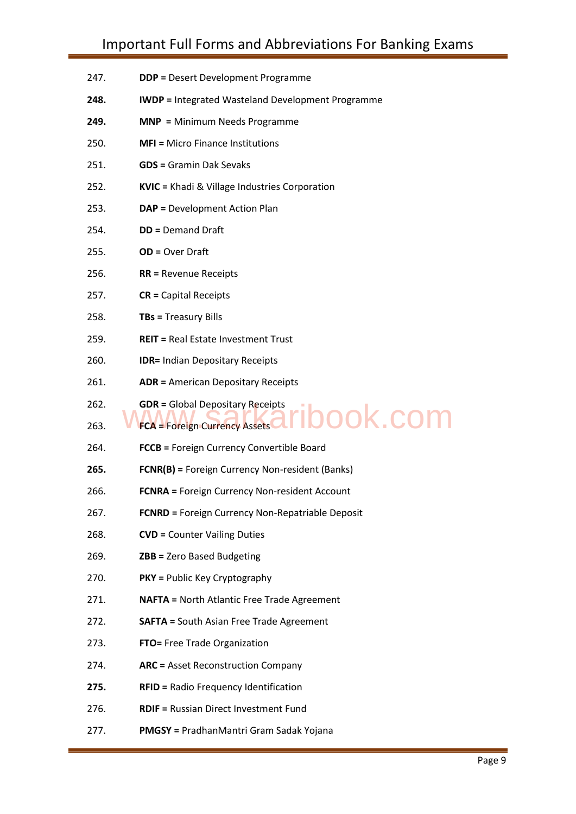- 247. **DDP =** Desert Development Programme
- **248. IWDP =** Integrated Wasteland Development Programme
- **249. MNP =** Minimum Needs Programme
- 250. **MFI =** Micro Finance Institutions
- 251. **GDS =** Gramin Dak Sevaks
- 252. **KVIC =** Khadi & Village Industries Corporation
- 253. **DAP =** Development Action Plan
- 254. **DD =** Demand Draft
- 255. **OD =** Over Draft
- 256. **RR =** Revenue Receipts
- 257. **CR =** Capital Receipts
- 258. **TBs =** Treasury Bills

Downloaded from www.jobtodayinfo.com

- 259. **REIT =** Real Estate Investment Trust
- 260. **IDR=** Indian Depositary Receipts
- 261. **ADR =** American Depositary Receipts
- 262. **GDR =** Global Depositary Receipts

### 263. **FCA** = Foreign Currency Assets pok.com

- 264. **FCCB =** Foreign Currency Convertible Board
- **265. FCNR(B) =** Foreign Currency Non-resident (Banks)
- 266. **FCNRA =** Foreign Currency Non-resident Account
- 267. **FCNRD =** Foreign Currency Non-Repatriable Deposit
- 268. **CVD =** Counter Vailing Duties
- 269. **ZBB =** Zero Based Budgeting
- 270. **PKY =** Public Key Cryptography
- 271. **NAFTA =** North Atlantic Free Trade Agreement
- 272. **SAFTA =** South Asian Free Trade Agreement
- 273. **FTO=** Free Trade Organization
- 274. **ARC =** Asset Reconstruction Company
- **275. RFID =** Radio Frequency Identification
- 276. **RDIF =** Russian Direct Investment Fund
- 277. **PMGSY =** PradhanMantri Gram Sadak Yojana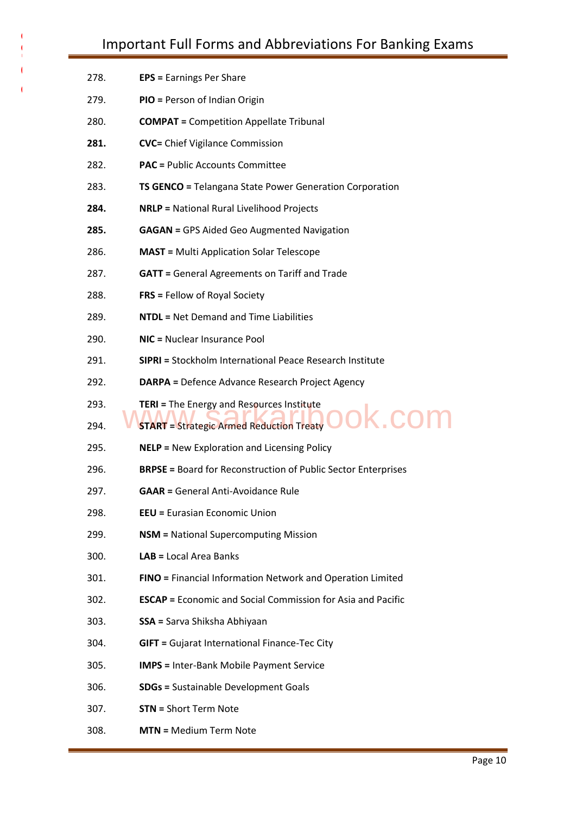| 278. | <b>EPS</b> = Earnings Per Share                                      |  |
|------|----------------------------------------------------------------------|--|
| 279. | PIO = Person of Indian Origin                                        |  |
| 280. | <b>COMPAT</b> = Competition Appellate Tribunal                       |  |
| 281. | <b>CVC</b> = Chief Vigilance Commission                              |  |
| 282. | <b>PAC</b> = Public Accounts Committee                               |  |
| 283. | <b>TS GENCO</b> = Telangana State Power Generation Corporation       |  |
| 284. | <b>NRLP</b> = National Rural Livelihood Projects                     |  |
| 285. | <b>GAGAN</b> = GPS Aided Geo Augmented Navigation                    |  |
| 286. | <b>MAST</b> = Multi Application Solar Telescope                      |  |
| 287. | <b>GATT</b> = General Agreements on Tariff and Trade                 |  |
| 288. | <b>FRS</b> = Fellow of Royal Society                                 |  |
| 289. | <b>NTDL</b> = Net Demand and Time Liabilities                        |  |
| 290. | NIC = Nuclear Insurance Pool                                         |  |
| 291. | SIPRI = Stockholm International Peace Research Institute             |  |
| 292. | <b>DARPA</b> = Defence Advance Research Project Agency               |  |
| 293. | <b>TERI</b> = The Energy and Resources Institute                     |  |
| 294. | <b>K.cor</b><br><b>START</b> = Strategic Armed Reduction Treaty      |  |
| 295. | <b>NELP</b> = New Exploration and Licensing Policy                   |  |
| 296. | <b>BRPSE = Board for Reconstruction of Public Sector Enterprises</b> |  |
| 297. | <b>GAAR = General Anti-Avoidance Rule</b>                            |  |
| 298. | <b>EEU = Eurasian Economic Union</b>                                 |  |
| 299. | <b>NSM = National Supercomputing Mission</b>                         |  |
| 300. | LAB = Local Area Banks                                               |  |
| 301. | FINO = Financial Information Network and Operation Limited           |  |
| 302. | <b>ESCAP</b> = Economic and Social Commission for Asia and Pacific   |  |
| 303. | <b>SSA = Sarva Shiksha Abhiyaan</b>                                  |  |
| 304. | <b>GIFT</b> = Gujarat International Finance-Tec City                 |  |
| 305. | <b>IMPS</b> = Inter-Bank Mobile Payment Service                      |  |
| 306. | <b>SDGs = Sustainable Development Goals</b>                          |  |
| 307. | <b>STN = Short Term Note</b>                                         |  |
|      |                                                                      |  |

308. **MTN =** Medium Term Note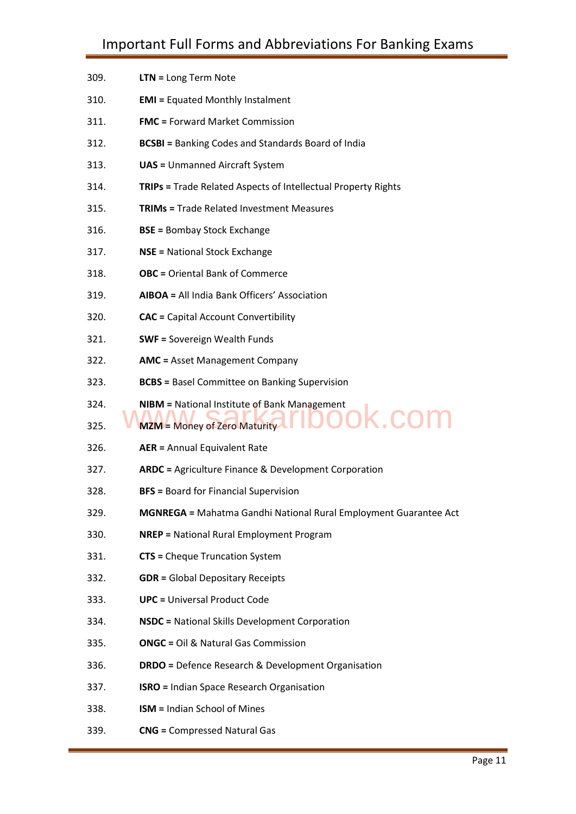| 309. | LTN = Long Term Note                                                    |
|------|-------------------------------------------------------------------------|
| 310. | <b>EMI</b> = Equated Monthly Instalment                                 |
| 311. | <b>FMC</b> = Forward Market Commission                                  |
| 312. | <b>BCSBI</b> = Banking Codes and Standards Board of India               |
| 313. | <b>UAS</b> = Unmanned Aircraft System                                   |
| 314. | <b>TRIPs = Trade Related Aspects of Intellectual Property Rights</b>    |
| 315. | <b>TRIMs = Trade Related Investment Measures</b>                        |
| 316. | <b>BSE = Bombay Stock Exchange</b>                                      |
| 317. | <b>NSE = National Stock Exchange</b>                                    |
| 318. | <b>OBC</b> = Oriental Bank of Commerce                                  |
| 319. | AIBOA = All India Bank Officers' Association                            |
| 320. | <b>CAC</b> = Capital Account Convertibility                             |
| 321. | <b>SWF</b> = Sovereign Wealth Funds                                     |
| 322. | <b>AMC</b> = Asset Management Company                                   |
| 323. | <b>BCBS</b> = Basel Committee on Banking Supervision                    |
| 324. | <b>NIBM</b> = National Institute of Bank Management                     |
| 325. | <b>COI</b><br>MZM = Money of Zero Maturity                              |
| 326. | <b>AER = Annual Equivalent Rate</b>                                     |
| 327. | <b>ARDC</b> = Agriculture Finance & Development Corporation             |
| 328. | <b>BFS</b> = Board for Financial Supervision                            |
| 329. | <b>MGNREGA</b> = Mahatma Gandhi National Rural Employment Guarantee Act |
| 330. | <b>NREP</b> = National Rural Employment Program                         |
| 331. | <b>CTS</b> = Cheque Truncation System                                   |
| 332. | <b>GDR = Global Depositary Receipts</b>                                 |
| 333. | <b>UPC</b> = Universal Product Code                                     |
| 334. | <b>NSDC</b> = National Skills Development Corporation                   |
| 335. | <b>ONGC</b> = Oil & Natural Gas Commission                              |
| 336. | <b>DRDO</b> = Defence Research & Development Organisation               |
| 337. | <b>ISRO</b> = Indian Space Research Organisation                        |
| 338. | <b>ISM = Indian School of Mines</b>                                     |
| 339. | <b>CNG = Compressed Natural Gas</b>                                     |